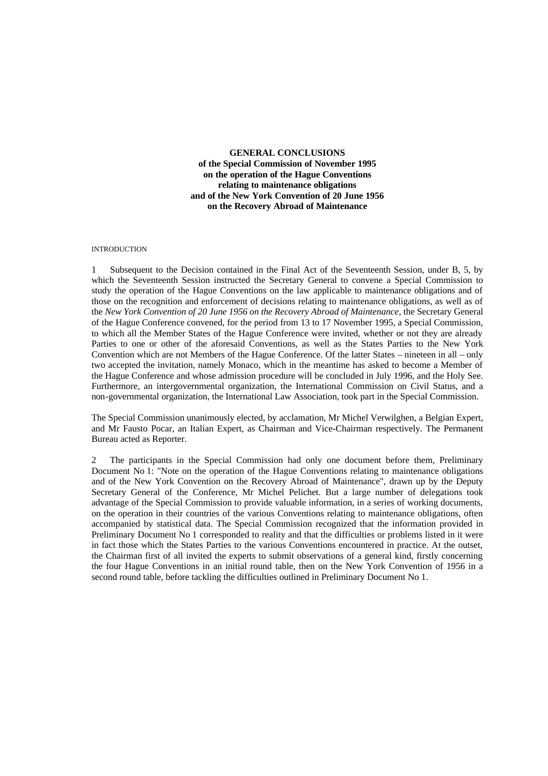**GENERAL CONCLUSIONS of the Special Commission of November 1995 on the operation of the Hague Conventions relating to maintenance obligations and of the New York Convention of 20 June 1956 on the Recovery Abroad of Maintenance**

#### INTRODUCTION

1 Subsequent to the Decision contained in the Final Act of the Seventeenth Session, under B, 5, by which the Seventeenth Session instructed the Secretary General to convene a Special Commission to study the operation of the Hague Conventions on the law applicable to maintenance obligations and of those on the recognition and enforcement of decisions relating to maintenance obligations, as well as of the *New York Convention of 20 June 1956 on the Recovery Abroad of Maintenance*, the Secretary General of the Hague Conference convened, for the period from 13 to 17 November 1995, a Special Commission, to which all the Member States of the Hague Conference were invited, whether or not they are already Parties to one or other of the aforesaid Conventions, as well as the States Parties to the New York Convention which are not Members of the Hague Conference. Of the latter States – nineteen in all – only two accepted the invitation, namely Monaco, which in the meantime has asked to become a Member of the Hague Conference and whose admission procedure will be concluded in July 1996, and the Holy See. Furthermore, an intergovernmental organization, the International Commission on Civil Status, and a non-governmental organization, the International Law Association, took part in the Special Commission.

The Special Commission unanimously elected, by acclamation, Mr Michel Verwilghen, a Belgian Expert, and Mr Fausto Pocar, an Italian Expert, as Chairman and Vice-Chairman respectively. The Permanent Bureau acted as Reporter.

2 The participants in the Special Commission had only one document before them, Preliminary Document No 1: "Note on the operation of the Hague Conventions relating to maintenance obligations and of the New York Convention on the Recovery Abroad of Maintenance", drawn up by the Deputy Secretary General of the Conference, Mr Michel Pelichet. But a large number of delegations took advantage of the Special Commission to provide valuable information, in a series of working documents, on the operation in their countries of the various Conventions relating to maintenance obligations, often accompanied by statistical data. The Special Commission recognized that the information provided in Preliminary Document No 1 corresponded to reality and that the difficulties or problems listed in it were in fact those which the States Parties to the various Conventions encountered in practice. At the outset, the Chairman first of all invited the experts to submit observations of a general kind, firstly concerning the four Hague Conventions in an initial round table, then on the New York Convention of 1956 in a second round table, before tackling the difficulties outlined in Preliminary Document No 1.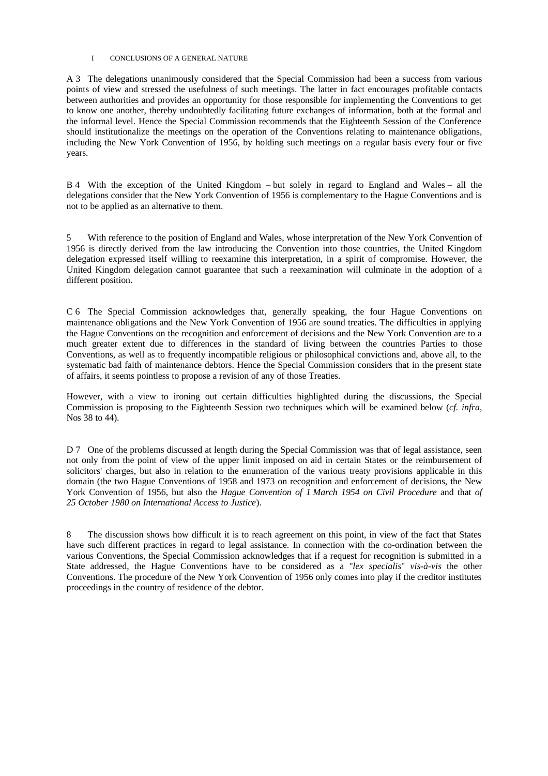#### I CONCLUSIONS OF A GENERAL NATURE

A 3 The delegations unanimously considered that the Special Commission had been a success from various points of view and stressed the usefulness of such meetings. The latter in fact encourages profitable contacts between authorities and provides an opportunity for those responsible for implementing the Conventions to get to know one another, thereby undoubtedly facilitating future exchanges of information, both at the formal and the informal level. Hence the Special Commission recommends that the Eighteenth Session of the Conference should institutionalize the meetings on the operation of the Conventions relating to maintenance obligations, including the New York Convention of 1956, by holding such meetings on a regular basis every four or five years.

B 4 With the exception of the United Kingdom – but solely in regard to England and Wales – all the delegations consider that the New York Convention of 1956 is complementary to the Hague Conventions and is not to be applied as an alternative to them.

5 With reference to the position of England and Wales, whose interpretation of the New York Convention of 1956 is directly derived from the law introducing the Convention into those countries, the United Kingdom delegation expressed itself willing to reexamine this interpretation, in a spirit of compromise. However, the United Kingdom delegation cannot guarantee that such a reexamination will culminate in the adoption of a different position.

C 6 The Special Commission acknowledges that, generally speaking, the four Hague Conventions on maintenance obligations and the New York Convention of 1956 are sound treaties. The difficulties in applying the Hague Conventions on the recognition and enforcement of decisions and the New York Convention are to a much greater extent due to differences in the standard of living between the countries Parties to those Conventions, as well as to frequently incompatible religious or philosophical convictions and, above all, to the systematic bad faith of maintenance debtors. Hence the Special Commission considers that in the present state of affairs, it seems pointless to propose a revision of any of those Treaties.

However, with a view to ironing out certain difficulties highlighted during the discussions, the Special Commission is proposing to the Eighteenth Session two techniques which will be examined below (*cf. infra*, Nos 38 to 44).

D 7 One of the problems discussed at length during the Special Commission was that of legal assistance, seen not only from the point of view of the upper limit imposed on aid in certain States or the reimbursement of solicitors' charges, but also in relation to the enumeration of the various treaty provisions applicable in this domain (the two Hague Conventions of 1958 and 1973 on recognition and enforcement of decisions, the New York Convention of 1956, but also the *Hague Convention of 1 March 1954 on Civil Procedure* and that *of 25 October 1980 on International Access to Justice*).

8 The discussion shows how difficult it is to reach agreement on this point, in view of the fact that States have such different practices in regard to legal assistance. In connection with the co-ordination between the various Conventions, the Special Commission acknowledges that if a request for recognition is submitted in a State addressed, the Hague Conventions have to be considered as a "*lex specialis*" *vis-à-vis* the other Conventions. The procedure of the New York Convention of 1956 only comes into play if the creditor institutes proceedings in the country of residence of the debtor.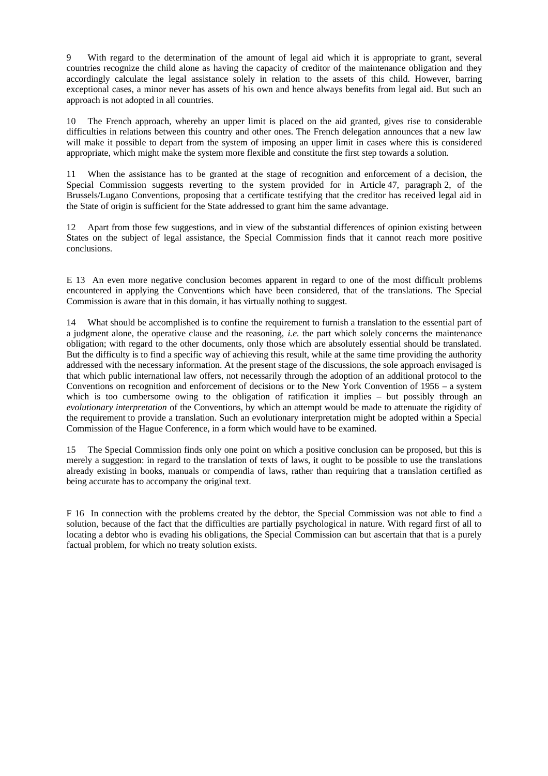9 With regard to the determination of the amount of legal aid which it is appropriate to grant, several countries recognize the child alone as having the capacity of creditor of the maintenance obligation and they accordingly calculate the legal assistance solely in relation to the assets of this child. However, barring exceptional cases, a minor never has assets of his own and hence always benefits from legal aid. But such an approach is not adopted in all countries.

10 The French approach, whereby an upper limit is placed on the aid granted, gives rise to considerable difficulties in relations between this country and other ones. The French delegation announces that a new law will make it possible to depart from the system of imposing an upper limit in cases where this is considered appropriate, which might make the system more flexible and constitute the first step towards a solution.

11 When the assistance has to be granted at the stage of recognition and enforcement of a decision, the Special Commission suggests reverting to the system provided for in Article 47, paragraph 2, of the Brussels/Lugano Conventions, proposing that a certificate testifying that the creditor has received legal aid in the State of origin is sufficient for the State addressed to grant him the same advantage.

12 Apart from those few suggestions, and in view of the substantial differences of opinion existing between States on the subject of legal assistance, the Special Commission finds that it cannot reach more positive conclusions.

E 13 An even more negative conclusion becomes apparent in regard to one of the most difficult problems encountered in applying the Conventions which have been considered, that of the translations. The Special Commission is aware that in this domain, it has virtually nothing to suggest.

14 What should be accomplished is to confine the requirement to furnish a translation to the essential part of a judgment alone, the operative clause and the reasoning, *i.e.* the part which solely concerns the maintenance obligation; with regard to the other documents, only those which are absolutely essential should be translated. But the difficulty is to find a specific way of achieving this result, while at the same time providing the authority addressed with the necessary information. At the present stage of the discussions, the sole approach envisaged is that which public international law offers, not necessarily through the adoption of an additional protocol to the Conventions on recognition and enforcement of decisions or to the New York Convention of 1956 – a system which is too cumbersome owing to the obligation of ratification it implies – but possibly through an *evolutionary interpretation* of the Conventions, by which an attempt would be made to attenuate the rigidity of the requirement to provide a translation. Such an evolutionary interpretation might be adopted within a Special Commission of the Hague Conference, in a form which would have to be examined.

15 The Special Commission finds only one point on which a positive conclusion can be proposed, but this is merely a suggestion: in regard to the translation of texts of laws, it ought to be possible to use the translations already existing in books, manuals or compendia of laws, rather than requiring that a translation certified as being accurate has to accompany the original text.

F 16 In connection with the problems created by the debtor, the Special Commission was not able to find a solution, because of the fact that the difficulties are partially psychological in nature. With regard first of all to locating a debtor who is evading his obligations, the Special Commission can but ascertain that that is a purely factual problem, for which no treaty solution exists.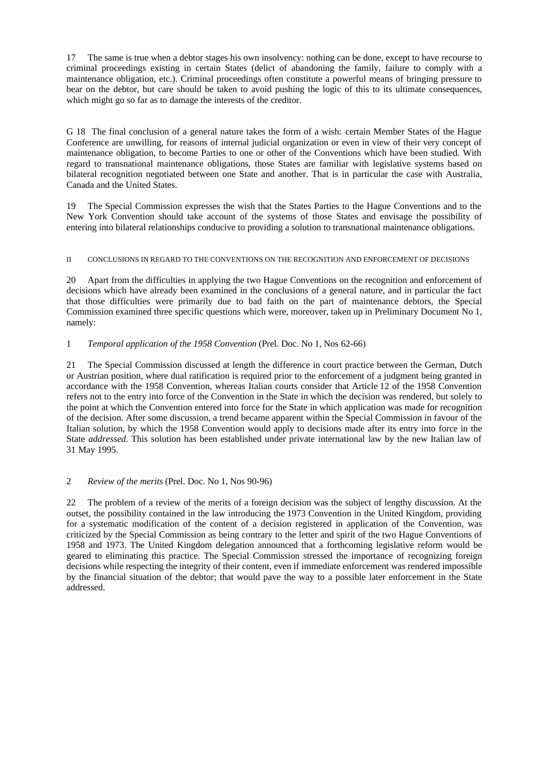17 The same is true when a debtor stages his own insolvency: nothing can be done, except to have recourse to criminal proceedings existing in certain States (delict of abandoning the family, failure to comply with a maintenance obligation, etc.). Criminal proceedings often constitute a powerful means of bringing pressure to bear on the debtor, but care should be taken to avoid pushing the logic of this to its ultimate consequences, which might go so far as to damage the interests of the creditor.

G 18 The final conclusion of a general nature takes the form of a wish: certain Member States of the Hague Conference are unwilling, for reasons of internal judicial organization or even in view of their very concept of maintenance obligation, to become Parties to one or other of the Conventions which have been studied. With regard to transnational maintenance obligations, those States are familiar with legislative systems based on bilateral recognition negotiated between one State and another. That is in particular the case with Australia, Canada and the United States.

19 The Special Commission expresses the wish that the States Parties to the Hague Conventions and to the New York Convention should take account of the systems of those States and envisage the possibility of entering into bilateral relationships conducive to providing a solution to transnational maintenance obligations.

### II CONCLUSIONS IN REGARD TO THE CONVENTIONS ON THE RECOGNITION AND ENFORCEMENT OF DECISIONS

20 Apart from the difficulties in applying the two Hague Conventions on the recognition and enforcement of decisions which have already been examined in the conclusions of a general nature, and in particular the fact that those difficulties were primarily due to bad faith on the part of maintenance debtors, the Special Commission examined three specific questions which were, moreover, taken up in Preliminary Document No 1, namely:

# 1 *Temporal application of the 1958 Convention* (Prel. Doc. No 1, Nos 62-66)

21 The Special Commission discussed at length the difference in court practice between the German, Dutch or Austrian position, where dual ratification is required prior to the enforcement of a judgment being granted in accordance with the 1958 Convention, whereas Italian courts consider that Article 12 of the 1958 Convention refers not to the entry into force of the Convention in the State in which the decision was rendered, but solely to the point at which the Convention entered into force for the State in which application was made for recognition of the decision. After some discussion, a trend became apparent within the Special Commission in favour of the Italian solution, by which the 1958 Convention would apply to decisions made after its entry into force in the State *addressed*. This solution has been established under private international law by the new Italian law of 31 May 1995.

# 2 *Review of the merits* (Prel. Doc. No 1, Nos 90-96)

22 The problem of a review of the merits of a foreign decision was the subject of lengthy discussion. At the outset, the possibility contained in the law introducing the 1973 Convention in the United Kingdom, providing for a systematic modification of the content of a decision registered in application of the Convention, was criticized by the Special Commission as being contrary to the letter and spirit of the two Hague Conventions of 1958 and 1973. The United Kingdom delegation announced that a forthcoming legislative reform would be geared to eliminating this practice. The Special Commission stressed the importance of recognizing foreign decisions while respecting the integrity of their content, even if immediate enforcement was rendered impossible by the financial situation of the debtor; that would pave the way to a possible later enforcement in the State addressed.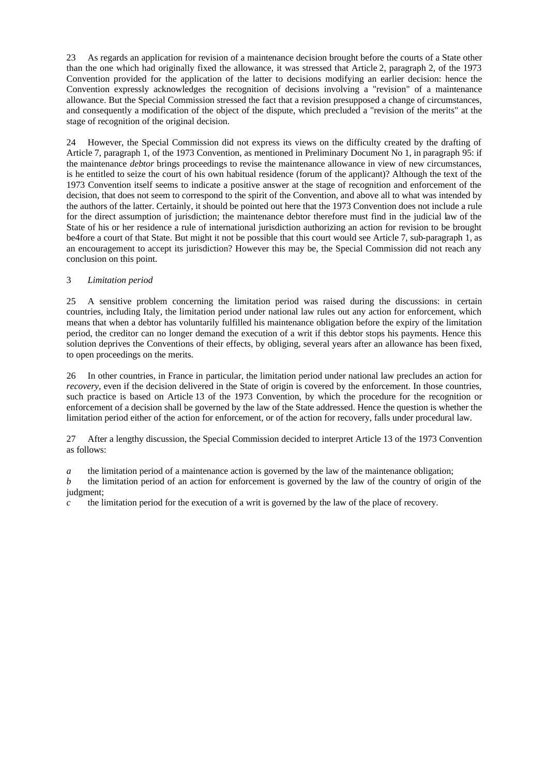23 As regards an application for revision of a maintenance decision brought before the courts of a State other than the one which had originally fixed the allowance, it was stressed that Article 2, paragraph 2, of the 1973 Convention provided for the application of the latter to decisions modifying an earlier decision: hence the Convention expressly acknowledges the recognition of decisions involving a "revision" of a maintenance allowance. But the Special Commission stressed the fact that a revision presupposed a change of circumstances, and consequently a modification of the object of the dispute, which precluded a "revision of the merits" at the stage of recognition of the original decision.

24 However, the Special Commission did not express its views on the difficulty created by the drafting of Article 7, paragraph 1, of the 1973 Convention, as mentioned in Preliminary Document No 1, in paragraph 95: if the maintenance *debtor* brings proceedings to revise the maintenance allowance in view of new circumstances, is he entitled to seize the court of his own habitual residence (forum of the applicant)? Although the text of the 1973 Convention itself seems to indicate a positive answer at the stage of recognition and enforcement of the decision, that does not seem to correspond to the spirit of the Convention, and above all to what was intended by the authors of the latter. Certainly, it should be pointed out here that the 1973 Convention does not include a rule for the direct assumption of jurisdiction; the maintenance debtor therefore must find in the judicial law of the State of his or her residence a rule of international jurisdiction authorizing an action for revision to be brought be4fore a court of that State. But might it not be possible that this court would see Article 7, sub-paragraph 1, as an encouragement to accept its jurisdiction? However this may be, the Special Commission did not reach any conclusion on this point.

# 3 *Limitation period*

25 A sensitive problem concerning the limitation period was raised during the discussions: in certain countries, including Italy, the limitation period under national law rules out any action for enforcement, which means that when a debtor has voluntarily fulfilled his maintenance obligation before the expiry of the limitation period, the creditor can no longer demand the execution of a writ if this debtor stops his payments. Hence this solution deprives the Conventions of their effects, by obliging, several years after an allowance has been fixed, to open proceedings on the merits.

26 In other countries, in France in particular, the limitation period under national law precludes an action for *recovery*, even if the decision delivered in the State of origin is covered by the enforcement. In those countries, such practice is based on Article 13 of the 1973 Convention, by which the procedure for the recognition or enforcement of a decision shall be governed by the law of the State addressed. Hence the question is whether the limitation period either of the action for enforcement, or of the action for recovery, falls under procedural law.

27 After a lengthy discussion, the Special Commission decided to interpret Article 13 of the 1973 Convention as follows:

*a* the limitation period of a maintenance action is governed by the law of the maintenance obligation;

*b* the limitation period of an action for enforcement is governed by the law of the country of origin of the judgment;

*c* the limitation period for the execution of a writ is governed by the law of the place of recovery.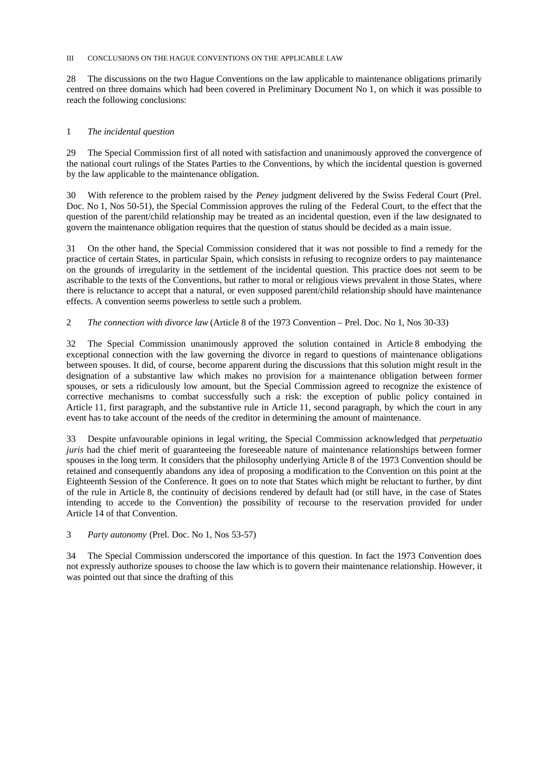#### III CONCLUSIONS ON THE HAGUE CONVENTIONS ON THE APPLICABLE LAW

28 The discussions on the two Hague Conventions on the law applicable to maintenance obligations primarily centred on three domains which had been covered in Preliminary Document No 1, on which it was possible to reach the following conclusions:

#### 1 *The incidental question*

29 The Special Commission first of all noted with satisfaction and unanimously approved the convergence of the national court rulings of the States Parties to the Conventions, by which the incidental question is governed by the law applicable to the maintenance obligation.

30 With reference to the problem raised by the *Peney* judgment delivered by the Swiss Federal Court (Prel. Doc. No 1, Nos 50-51), the Special Commission approves the ruling of the Federal Court, to the effect that the question of the parent/child relationship may be treated as an incidental question, even if the law designated to govern the maintenance obligation requires that the question of status should be decided as a main issue.

31 On the other hand, the Special Commission considered that it was not possible to find a remedy for the practice of certain States, in particular Spain, which consists in refusing to recognize orders to pay maintenance on the grounds of irregularity in the settlement of the incidental question. This practice does not seem to be ascribable to the texts of the Conventions, but rather to moral or religious views prevalent in those States, where there is reluctance to accept that a natural, or even supposed parent/child relationship should have maintenance effects. A convention seems powerless to settle such a problem.

### 2 *The connection with divorce law* (Article 8 of the 1973 Convention – Prel. Doc. No 1, Nos 30-33)

32 The Special Commission unanimously approved the solution contained in Article 8 embodying the exceptional connection with the law governing the divorce in regard to questions of maintenance obligations between spouses. It did, of course, become apparent during the discussions that this solution might result in the designation of a substantive law which makes no provision for a maintenance obligation between former spouses, or sets a ridiculously low amount, but the Special Commission agreed to recognize the existence of corrective mechanisms to combat successfully such a risk: the exception of public policy contained in Article 11, first paragraph, and the substantive rule in Article 11, second paragraph, by which the court in any event has to take account of the needs of the creditor in determining the amount of maintenance.

33 Despite unfavourable opinions in legal writing, the Special Commission acknowledged that *perpetuatio juris* had the chief merit of guaranteeing the foreseeable nature of maintenance relationships between former spouses in the long term. It considers that the philosophy underlying Article 8 of the 1973 Convention should be retained and consequently abandons any idea of proposing a modification to the Convention on this point at the Eighteenth Session of the Conference. It goes on to note that States which might be reluctant to further, by dint of the rule in Article 8, the continuity of decisions rendered by default had (or still have, in the case of States intending to accede to the Convention) the possibility of recourse to the reservation provided for under Article 14 of that Convention.

3 *Party autonomy* (Prel. Doc. No 1, Nos 53-57)

34 The Special Commission underscored the importance of this question. In fact the 1973 Convention does not expressly authorize spouses to choose the law which is to govern their maintenance relationship. However, it was pointed out that since the drafting of this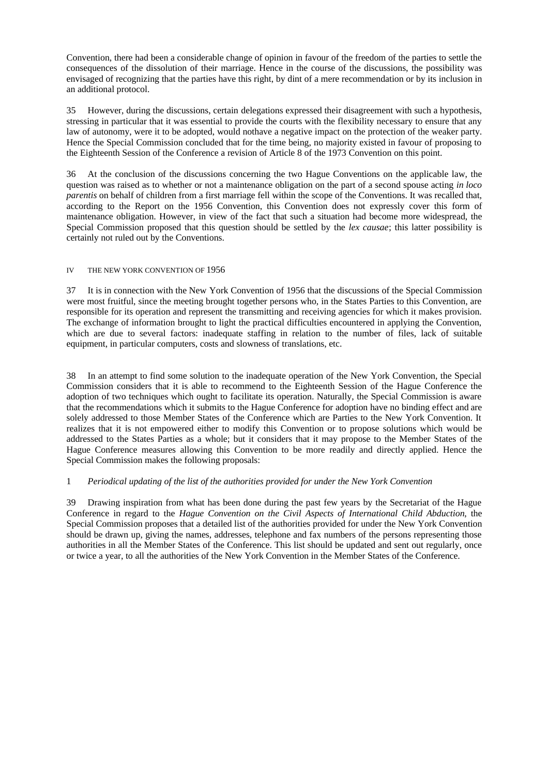Convention, there had been a considerable change of opinion in favour of the freedom of the parties to settle the consequences of the dissolution of their marriage. Hence in the course of the discussions, the possibility was envisaged of recognizing that the parties have this right, by dint of a mere recommendation or by its inclusion in an additional protocol.

35 However, during the discussions, certain delegations expressed their disagreement with such a hypothesis, stressing in particular that it was essential to provide the courts with the flexibility necessary to ensure that any law of autonomy, were it to be adopted, would nothave a negative impact on the protection of the weaker party. Hence the Special Commission concluded that for the time being, no majority existed in favour of proposing to the Eighteenth Session of the Conference a revision of Article 8 of the 1973 Convention on this point.

36 At the conclusion of the discussions concerning the two Hague Conventions on the applicable law, the question was raised as to whether or not a maintenance obligation on the part of a second spouse acting *in loco parentis* on behalf of children from a first marriage fell within the scope of the Conventions. It was recalled that, according to the Report on the 1956 Convention, this Convention does not expressly cover this form of maintenance obligation. However, in view of the fact that such a situation had become more widespread, the Special Commission proposed that this question should be settled by the *lex causae*; this latter possibility is certainly not ruled out by the Conventions.

### IV THE NEW YORK CONVENTION OF 1956

37 It is in connection with the New York Convention of 1956 that the discussions of the Special Commission were most fruitful, since the meeting brought together persons who, in the States Parties to this Convention, are responsible for its operation and represent the transmitting and receiving agencies for which it makes provision. The exchange of information brought to light the practical difficulties encountered in applying the Convention, which are due to several factors: inadequate staffing in relation to the number of files, lack of suitable equipment, in particular computers, costs and slowness of translations, etc.

38 In an attempt to find some solution to the inadequate operation of the New York Convention, the Special Commission considers that it is able to recommend to the Eighteenth Session of the Hague Conference the adoption of two techniques which ought to facilitate its operation. Naturally, the Special Commission is aware that the recommendations which it submits to the Hague Conference for adoption have no binding effect and are solely addressed to those Member States of the Conference which are Parties to the New York Convention. It realizes that it is not empowered either to modify this Convention or to propose solutions which would be addressed to the States Parties as a whole; but it considers that it may propose to the Member States of the Hague Conference measures allowing this Convention to be more readily and directly applied. Hence the Special Commission makes the following proposals:

### 1 *Periodical updating of the list of the authorities provided for under the New York Convention*

39 Drawing inspiration from what has been done during the past few years by the Secretariat of the Hague Conference in regard to the *Hague Convention on the Civil Aspects of International Child Abduction*, the Special Commission proposes that a detailed list of the authorities provided for under the New York Convention should be drawn up, giving the names, addresses, telephone and fax numbers of the persons representing those authorities in all the Member States of the Conference. This list should be updated and sent out regularly, once or twice a year, to all the authorities of the New York Convention in the Member States of the Conference.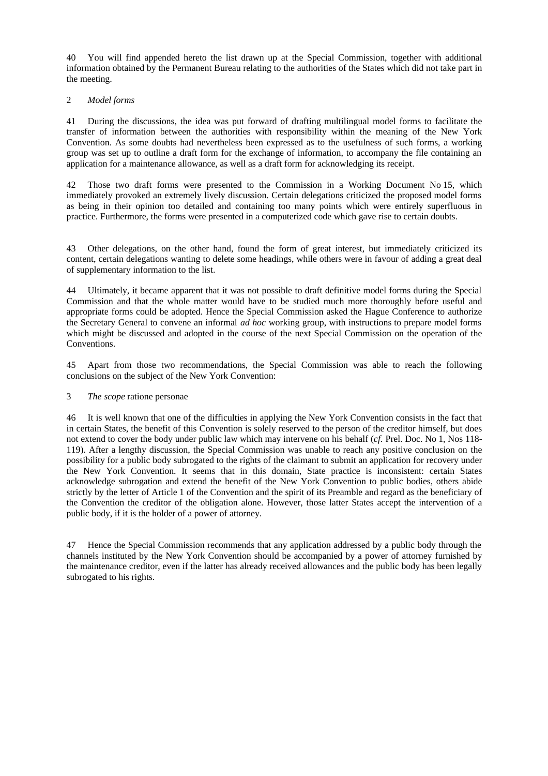40 You will find appended hereto the list drawn up at the Special Commission, together with additional information obtained by the Permanent Bureau relating to the authorities of the States which did not take part in the meeting.

### 2 *Model forms*

41 During the discussions, the idea was put forward of drafting multilingual model forms to facilitate the transfer of information between the authorities with responsibility within the meaning of the New York Convention. As some doubts had nevertheless been expressed as to the usefulness of such forms, a working group was set up to outline a draft form for the exchange of information, to accompany the file containing an application for a maintenance allowance, as well as a draft form for acknowledging its receipt.

42 Those two draft forms were presented to the Commission in a Working Document No 15, which immediately provoked an extremely lively discussion. Certain delegations criticized the proposed model forms as being in their opinion too detailed and containing too many points which were entirely superfluous in practice. Furthermore, the forms were presented in a computerized code which gave rise to certain doubts.

43 Other delegations, on the other hand, found the form of great interest, but immediately criticized its content, certain delegations wanting to delete some headings, while others were in favour of adding a great deal of supplementary information to the list.

44 Ultimately, it became apparent that it was not possible to draft definitive model forms during the Special Commission and that the whole matter would have to be studied much more thoroughly before useful and appropriate forms could be adopted. Hence the Special Commission asked the Hague Conference to authorize the Secretary General to convene an informal *ad hoc* working group, with instructions to prepare model forms which might be discussed and adopted in the course of the next Special Commission on the operation of the Conventions.

45 Apart from those two recommendations, the Special Commission was able to reach the following conclusions on the subject of the New York Convention:

### 3 *The scope* ratione personae

46 It is well known that one of the difficulties in applying the New York Convention consists in the fact that in certain States, the benefit of this Convention is solely reserved to the person of the creditor himself, but does not extend to cover the body under public law which may intervene on his behalf (*cf.* Prel. Doc. No 1, Nos 118- 119). After a lengthy discussion, the Special Commission was unable to reach any positive conclusion on the possibility for a public body subrogated to the rights of the claimant to submit an application for recovery under the New York Convention. It seems that in this domain, State practice is inconsistent: certain States acknowledge subrogation and extend the benefit of the New York Convention to public bodies, others abide strictly by the letter of Article 1 of the Convention and the spirit of its Preamble and regard as the beneficiary of the Convention the creditor of the obligation alone. However, those latter States accept the intervention of a public body, if it is the holder of a power of attorney.

47 Hence the Special Commission recommends that any application addressed by a public body through the channels instituted by the New York Convention should be accompanied by a power of attorney furnished by the maintenance creditor, even if the latter has already received allowances and the public body has been legally subrogated to his rights.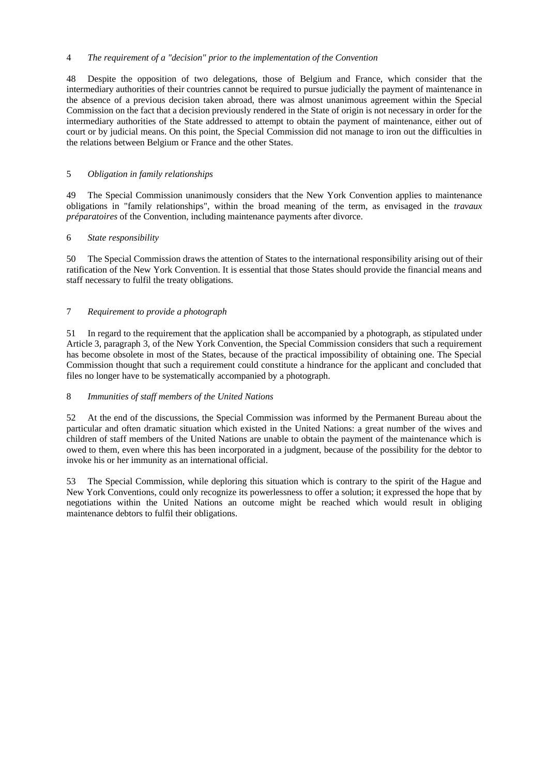### 4 *The requirement of a "decision" prior to the implementation of the Convention*

48 Despite the opposition of two delegations, those of Belgium and France, which consider that the intermediary authorities of their countries cannot be required to pursue judicially the payment of maintenance in the absence of a previous decision taken abroad, there was almost unanimous agreement within the Special Commission on the fact that a decision previously rendered in the State of origin is not necessary in order for the intermediary authorities of the State addressed to attempt to obtain the payment of maintenance, either out of court or by judicial means. On this point, the Special Commission did not manage to iron out the difficulties in the relations between Belgium or France and the other States.

# 5 *Obligation in family relationships*

49 The Special Commission unanimously considers that the New York Convention applies to maintenance obligations in "family relationships", within the broad meaning of the term, as envisaged in the *travaux préparatoires* of the Convention, including maintenance payments after divorce.

# 6 *State responsibility*

50 The Special Commission draws the attention of States to the international responsibility arising out of their ratification of the New York Convention. It is essential that those States should provide the financial means and staff necessary to fulfil the treaty obligations.

# 7 *Requirement to provide a photograph*

51 In regard to the requirement that the application shall be accompanied by a photograph, as stipulated under Article 3, paragraph 3, of the New York Convention, the Special Commission considers that such a requirement has become obsolete in most of the States, because of the practical impossibility of obtaining one. The Special Commission thought that such a requirement could constitute a hindrance for the applicant and concluded that files no longer have to be systematically accompanied by a photograph.

### 8 *Immunities of staff members of the United Nations*

52 At the end of the discussions, the Special Commission was informed by the Permanent Bureau about the particular and often dramatic situation which existed in the United Nations: a great number of the wives and children of staff members of the United Nations are unable to obtain the payment of the maintenance which is owed to them, even where this has been incorporated in a judgment, because of the possibility for the debtor to invoke his or her immunity as an international official.

53 The Special Commission, while deploring this situation which is contrary to the spirit of the Hague and New York Conventions, could only recognize its powerlessness to offer a solution; it expressed the hope that by negotiations within the United Nations an outcome might be reached which would result in obliging maintenance debtors to fulfil their obligations.